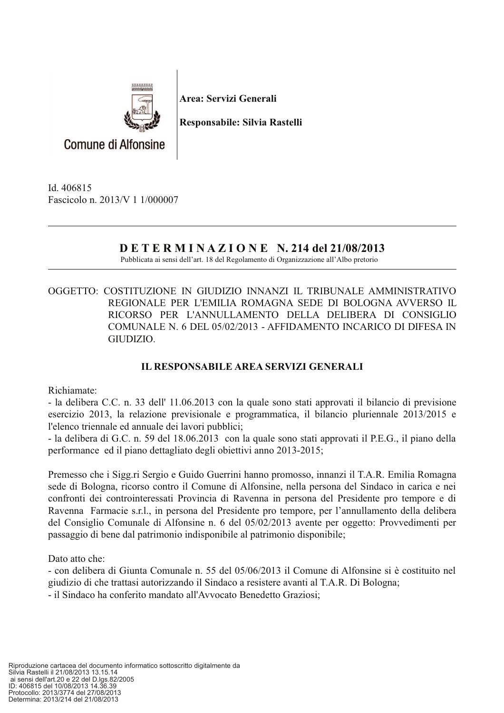

Area: Servizi Generali

Responsabile: Silvia Rastelli

**Comune di Alfonsine** 

Id. 406815 Fascicolo n. 2013/V 1 1/000007

## **DETERMINAZIONE N. 214 del 21/08/2013**

Pubblicata ai sensi dell'art. 18 del Regolamento di Organizzazione all'Albo pretorio

## OGGETTO: COSTITUZIONE IN GIUDIZIO INNANZI IL TRIBUNALE AMMINISTRATIVO REGIONALE PER L'EMILIA ROMAGNA SEDE DI BOLOGNA AVVERSO IL RICORSO PER L'ANNULLAMENTO DELLA DELIBERA DI CONSIGLIO COMUNALE N. 6 DEL 05/02/2013 - AFFIDAMENTO INCARICO DI DIFESA IN GIUDIZIO.

## **IL RESPONSABILE AREA SERVIZI GENERALI**

Richiamate:

- la delibera C.C. n. 33 dell' 11.06.2013 con la quale sono stati approvati il bilancio di previsione esercizio 2013, la relazione previsionale e programmatica, il bilancio pluriennale 2013/2015 e l'elenco triennale ed annuale dei lavori pubblici;

- la delibera di G.C. n. 59 del 18.06.2013 con la quale sono stati approvati il P.E.G., il piano della performance ed il piano dettagliato degli obiettivi anno 2013-2015;

Premesso che i Sigg.ri Sergio e Guido Guerrini hanno promosso, innanzi il T.A.R. Emilia Romagna sede di Bologna, ricorso contro il Comune di Alfonsine, nella persona del Sindaco in carica e nei confronti dei controinteressati Provincia di Ravenna in persona del Presidente pro tempore e di Ravenna Farmacie s.r.l., in persona del Presidente pro tempore, per l'annullamento della delibera del Consiglio Comunale di Alfonsine n. 6 del 05/02/2013 avente per oggetto: Provvedimenti per passaggio di bene dal patrimonio indisponibile al patrimonio disponibile:

Dato atto che:

- con delibera di Giunta Comunale n. 55 del 05/06/2013 il Comune di Alfonsine si è costituito nel giudizio di che trattasi autorizzando il Sindaco a resistere avanti al T.A.R. Di Bologna;

- il Sindaco ha conferito mandato all'Avvocato Benedetto Graziosi;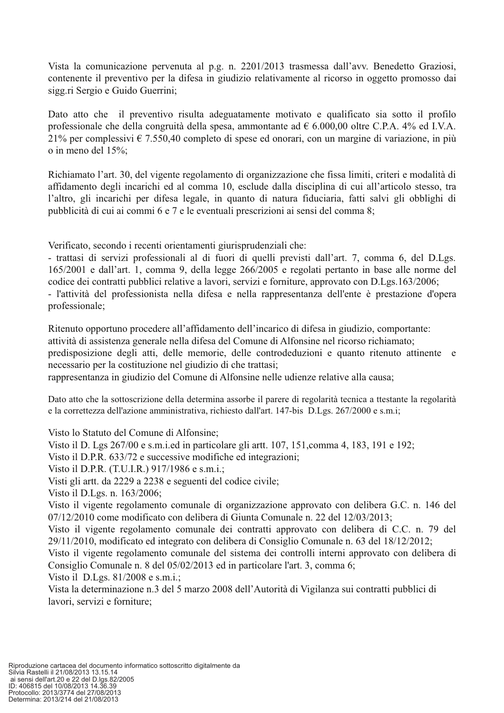Vista la comunicazione pervenuta al p.g. n. 2201/2013 trasmessa dall'avv. Benedetto Graziosi, contenente il preventivo per la difesa in giudizio relativamente al ricorso in oggetto promosso dai sigg.ri Sergio e Guido Guerrini;

Dato atto che il preventivo risulta adeguatamente motivato e qualificato sia sotto il profilo professionale che della congruità della spesa, ammontante ad  $\epsilon$  6.000,00 oltre C.P.A. 4% ed I.V.A. 21% per complessivi  $\epsilon$  7.550.40 completo di spese ed onorari, con un margine di variazione, in più o in meno del 15%;

Richiamato l'art. 30, del vigente regolamento di organizzazione che fissa limiti, criteri e modalità di affidamento degli incarichi ed al comma 10, esclude dalla disciplina di cui all'articolo stesso, tra l'altro, gli incarichi per difesa legale, in quanto di natura fiduciaria, fatti salvi gli obblighi di pubblicità di cui ai commi 6 e 7 e le eventuali prescrizioni ai sensi del comma 8;

Verificato, secondo i recenti orientamenti giurisprudenziali che:

- trattasi di servizi professionali al di fuori di quelli previsti dall'art. 7, comma 6, del D.Lgs. 165/2001 e dall'art. 1, comma 9, della legge 266/2005 e regolati pertanto in base alle norme del codice dei contratti pubblici relative a lavori, servizi e forniture, approvato con D.Lgs.163/2006; - l'attività del professionista nella difesa e nella rappresentanza dell'ente è prestazione d'opera professionale;

Ritenuto opportuno procedere all'affidamento dell'incarico di difesa in giudizio, comportante: attività di assistenza generale nella difesa del Comune di Alfonsine nel ricorso richiamato; predisposizione degli atti, delle memorie, delle controdeduzioni e quanto ritenuto attinente e necessario per la costituzione nel giudizio di che trattasi; rappresentanza in giudizio del Comune di Alfonsine nelle udienze relative alla causa;

Dato atto che la sottoscrizione della determina assorbe il parere di regolarità tecnica a ttestante la regolarità e la correttezza dell'azione amministrativa, richiesto dall'art. 147-bis D.Lgs. 267/2000 e s.m.i;

Visto lo Statuto del Comune di Alfonsine;

Visto il D. Lgs 267/00 e s.m.i.ed in particolare gli artt. 107, 151, comma 4, 183, 191 e 192;

Visto il D.P.R. 633/72 e successive modifiche ed integrazioni;

Visto il D.P.R. (T.U.I.R.) 917/1986 e s.m.i.;

Visti gli artt. da 2229 a 2238 e seguenti del codice civile;

Visto il D.Lgs. n. 163/2006;

Visto il vigente regolamento comunale di organizzazione approvato con delibera G.C. n. 146 del 07/12/2010 come modificato con delibera di Giunta Comunale n. 22 del 12/03/2013;

Visto il vigente regolamento comunale dei contratti approvato con delibera di C.C. n. 79 del 29/11/2010, modificato ed integrato con delibera di Consiglio Comunale n. 63 del 18/12/2012;

Visto il vigente regolamento comunale del sistema dei controlli interni approvato con delibera di Consiglio Comunale n. 8 del 05/02/2013 ed in particolare l'art. 3, comma 6;

Visto il D.Lgs. 81/2008 e s.m.i.;

Vista la determinazione n.3 del 5 marzo 2008 dell'Autorità di Vigilanza sui contratti pubblici di lavori, servizi e forniture: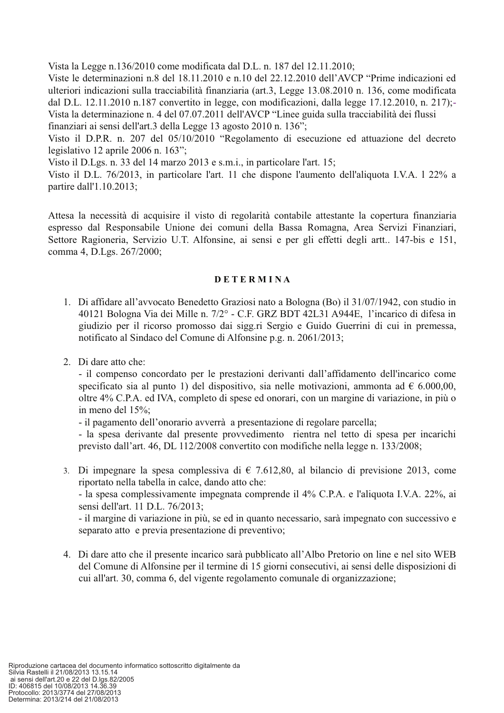Vista la Legge n.136/2010 come modificata dal D.L. n. 187 del 12.11.2010;

Viste le determinazioni n.8 del 18.11.2010 e n.10 del 22.12.2010 dell'AVCP "Prime indicazioni ed ulteriori indicazioni sulla tracciabilità finanziaria (art.3, Legge 13.08.2010 n. 136, come modificata dal D.L. 12.11.2010 n.187 convertito in legge, con modificazioni, dalla legge 17.12.2010, n. 217);-Vista la determinazione n. 4 del 07.07.2011 dell'AVCP "Linee guida sulla tracciabilità dei flussi finanziari ai sensi dell'art.3 della Legge 13 agosto 2010 n. 136";

Visto il D.P.R. n. 207 del 05/10/2010 "Regolamento di esecuzione ed attuazione del decreto legislativo 12 aprile 2006 n. 163";

Visto il D.Lgs. n. 33 del 14 marzo 2013 e s.m.i., in particolare l'art. 15;

Visto il D.L. 76/2013, in particolare l'art. 11 che dispone l'aumento dell'aliquota I.V.A. 1 22% a partire dall'1.10.2013;

Attesa la necessità di acquisire il visto di regolarità contabile attestante la copertura finanziaria espresso dal Responsabile Unione dei comuni della Bassa Romagna, Area Servizi Finanziari, Settore Ragioneria, Servizio U.T. Alfonsine, ai sensi e per gli effetti degli artt.. 147-bis e 151, comma 4, D.Lgs. 267/2000;

## **DETERMINA**

- 1. Di affidare all'avvocato Benedetto Graziosi nato a Bologna (Bo) il 31/07/1942, con studio in 40121 Bologna Via dei Mille n. 7/2° - C.F. GRZ BDT 42L31 A944E, l'incarico di difesa in giudizio per il ricorso promosso dai sigg.ri Sergio e Guido Guerrini di cui in premessa, notificato al Sindaco del Comune di Alfonsine p.g. n. 2061/2013;
- 2. Di dare atto che:

- il compenso concordato per le prestazioni derivanti dall'affidamento dell'incarico come specificato sia al punto 1) del dispositivo, sia nelle motivazioni, ammonta ad  $\epsilon$  6.000,00, oltre 4% C.P.A. ed IVA, completo di spese ed onorari, con un margine di variazione, in più o in meno del 15%;

- il pagamento dell'onorario avverrà a presentazione di regolare parcella;

- la spesa derivante dal presente provvedimento rientra nel tetto di spesa per incarichi previsto dall'art. 46, DL 112/2008 convertito con modifiche nella legge n. 133/2008;

3. Di impegnare la spesa complessiva di  $\epsilon$  7.612,80, al bilancio di previsione 2013, come riportato nella tabella in calce, dando atto che:

- la spesa complessivamente impegnata comprende il 4% C.P.A. e l'aliquota I.V.A. 22%, ai sensi dell'art. 11 D.L. 76/2013;

- il margine di variazione in più, se ed in quanto necessario, sarà impegnato con successivo e separato atto e previa presentazione di preventivo;

4. Di dare atto che il presente incarico sarà pubblicato all'Albo Pretorio on line e nel sito WEB del Comune di Alfonsine per il termine di 15 giorni consecutivi, ai sensi delle disposizioni di cui all'art. 30, comma 6, del vigente regolamento comunale di organizzazione;